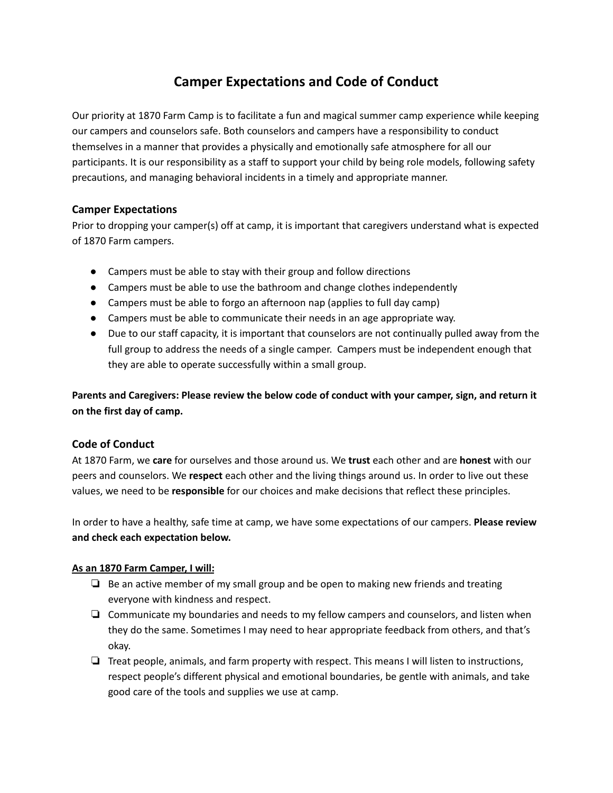# **Camper Expectations and Code of Conduct**

Our priority at 1870 Farm Camp is to facilitate a fun and magical summer camp experience while keeping our campers and counselors safe. Both counselors and campers have a responsibility to conduct themselves in a manner that provides a physically and emotionally safe atmosphere for all our participants. It is our responsibility as a staff to support your child by being role models, following safety precautions, and managing behavioral incidents in a timely and appropriate manner.

## **Camper Expectations**

Prior to dropping your camper(s) off at camp, it is important that caregivers understand what is expected of 1870 Farm campers.

- Campers must be able to stay with their group and follow directions
- Campers must be able to use the bathroom and change clothes independently
- Campers must be able to forgo an afternoon nap (applies to full day camp)
- Campers must be able to communicate their needs in an age appropriate way.
- Due to our staff capacity, it is important that counselors are not continually pulled away from the full group to address the needs of a single camper. Campers must be independent enough that they are able to operate successfully within a small group.

**Parents and Caregivers: Please review the below code of conduct with your camper, sign, and return it on the first day of camp.**

## **Code of Conduct**

At 1870 Farm, we **care** for ourselves and those around us. We **trust** each other and are **honest** with our peers and counselors. We **respect** each other and the living things around us. In order to live out these values, we need to be **responsible** for our choices and make decisions that reflect these principles.

In order to have a healthy, safe time at camp, we have some expectations of our campers. **Please review and check each expectation below.**

#### **As an 1870 Farm Camper, I will:**

- $\Box$  Be an active member of my small group and be open to making new friends and treating everyone with kindness and respect.
- ❏ Communicate my boundaries and needs to my fellow campers and counselors, and listen when they do the same. Sometimes I may need to hear appropriate feedback from others, and that's okay.
- ❏ Treat people, animals, and farm property with respect. This means I will listen to instructions, respect people's different physical and emotional boundaries, be gentle with animals, and take good care of the tools and supplies we use at camp.